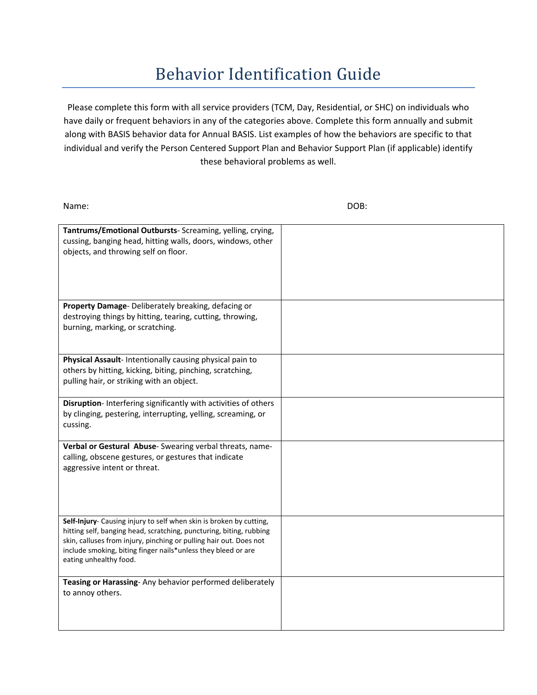## **Behavior Identification Guide**

Please complete this form with all service providers (TCM, Day, Residential, or SHC) on individuals who have daily or frequent behaviors in any of the categories above. Complete this form annually and submit along with BASIS behavior data for Annual BASIS. List examples of how the behaviors are specific to that individual and verify the Person Centered Support Plan and Behavior Support Plan (if applicable) identify these behavioral problems as well.

Name: DOB: **Tantrums/Emotional Outbursts**‐ Screaming, yelling, crying, cussing, banging head, hitting walls, doors, windows, other objects, and throwing self on floor. **Property Damage**‐ Deliberately breaking, defacing or destroying things by hitting, tearing, cutting, throwing, burning, marking, or scratching. **Physical Assault**‐ Intentionally causing physical pain to others by hitting, kicking, biting, pinching, scratching, pulling hair, or striking with an object. **Disruption**‐ Interfering significantly with activities of others by clinging, pestering, interrupting, yelling, screaming, or cussing. **Verbal or Gestural Abuse**‐ Swearing verbal threats, name‐ calling, obscene gestures, or gestures that indicate aggressive intent or threat. **Self‐Injury**‐ Causing injury to self when skin is broken by cutting, hitting self, banging head, scratching, puncturing, biting, rubbing skin, calluses from injury, pinching or pulling hair out. Does not include smoking, biting finger nails\*unless they bleed or are eating unhealthy food. **Teasing or Harassing**‐ Any behavior performed deliberately to annoy others.